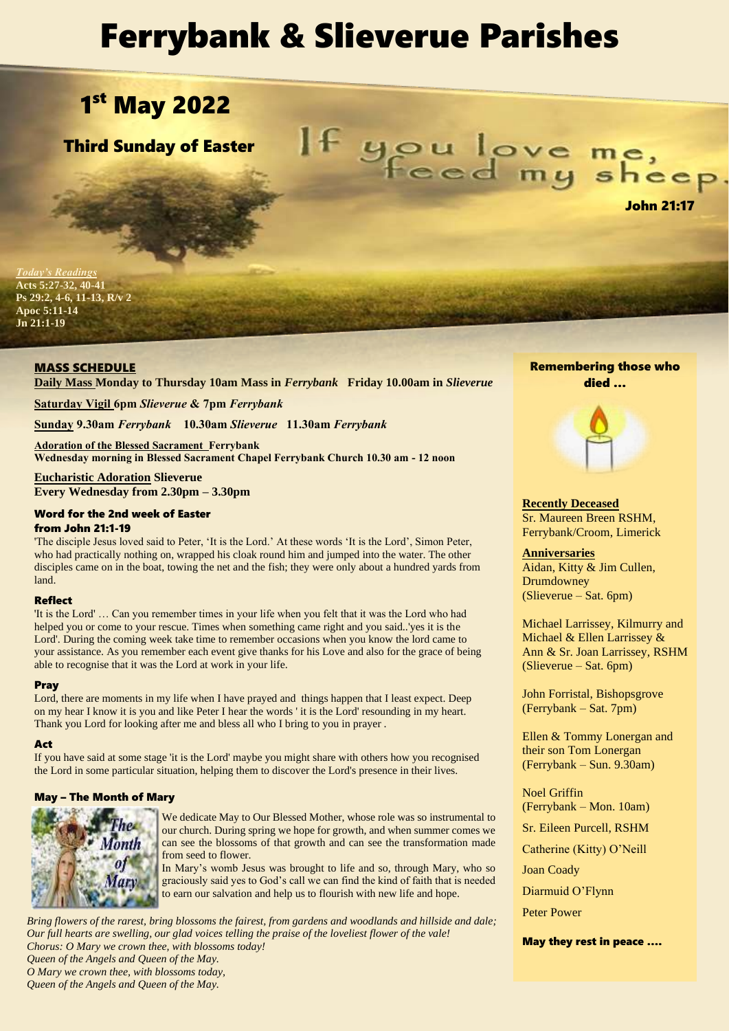# Ferrybank & Slieverue Parishes

## 1st May 2022

Third Sunday of Easter

If you love me,

*Tay's Readings* **Acts 5:27-32, 40-41 Ps 29:2, 4-6, 11-13, R/v 2 Apoc 5:11-14 Jn 21:1-19**

## MASS SCHEDULE

**Daily Mass Monday to Thursday 10am Mass in** *Ferrybank* **Friday 10.00am in** *Slieverue*

**Saturday Vigil 6pm** *Slieverue* **& 7pm** *Ferrybank*

**Sunday 9.30am** *Ferrybank* **10.30am** *Slieverue* **11.30am** *Ferrybank*

**Adoration of the Blessed Sacrament Ferrybank Wednesday morning in Blessed Sacrament Chapel Ferrybank Church 10.30 am - 12 noon**

**Eucharistic Adoration Slieverue Every Wednesday from 2.30pm – 3.30pm**

## Word for the 2nd week of Easter from John 21:1-19

'The disciple Jesus loved said to Peter, 'It is the Lord.' At these words 'It is the Lord', Simon Peter, who had practically nothing on, wrapped his cloak round him and jumped into the water. The other disciples came on in the boat, towing the net and the fish; they were only about a hundred yards from land.

## Reflect

'It is the Lord' … Can you remember times in your life when you felt that it was the Lord who had helped you or come to your rescue. Times when something came right and you said..'yes it is the Lord'. During the coming week take time to remember occasions when you know the lord came to your assistance. As you remember each event give thanks for his Love and also for the grace of being able to recognise that it was the Lord at work in your life.

## Pray

Lord, there are moments in my life when I have prayed and things happen that I least expect. Deep on my hear I know it is you and like Peter I hear the words ' it is the Lord' resounding in my heart. Thank you Lord for looking after me and bless all who I bring to you in prayer .

## Act

If you have said at some stage 'it is the Lord' maybe you might share with others how you recognised the Lord in some particular situation, helping them to discover the Lord's presence in their lives.

## May – The Month of Mary



We dedicate May to Our Blessed Mother, whose role was so instrumental to our church. During spring we hope for growth, and when summer comes we can see the blossoms of that growth and can see the transformation made from seed to flower.

In Mary's womb Jesus was brought to life and so, through Mary, who so graciously said yes to God's call we can find the kind of faith that is needed to earn our salvation and help us to flourish with new life and hope.

*Bring flowers of the rarest, bring blossoms the fairest, from gardens and woodlands and hillside and dale; Our full hearts are swelling, our glad voices telling the praise of the loveliest flower of the vale! Chorus: O Mary we crown thee, with blossoms today! Queen of the Angels and Queen of the May. O Mary we crown thee, with blossoms today, Queen of the Angels and Queen of the May.*

## Remembering those who died …

# 

**Recently Deceased** Sr. Maureen Breen RSHM, Ferrybank/Croom, Limerick

**Anniversaries** Aidan, Kitty & Jim Cullen, Drumdowney (Slieverue – Sat. 6pm)

Michael Larrissey, Kilmurry and Michael & Ellen Larrissey & Ann & Sr. Joan Larrissey, RSHM (Slieverue – Sat. 6pm)

John Forristal, Bishopsgrove (Ferrybank – Sat. 7pm)

Ellen & Tommy Lonergan and their son Tom Lonergan (Ferrybank – Sun. 9.30am)

Noel Griffin (Ferrybank – Mon. 10am)

Sr. Eileen Purcell, RSHM

Catherine (Kitty) O'Neill

Joan Coady

Diarmuid O'Flynn

Peter Power

May they rest in peace ….